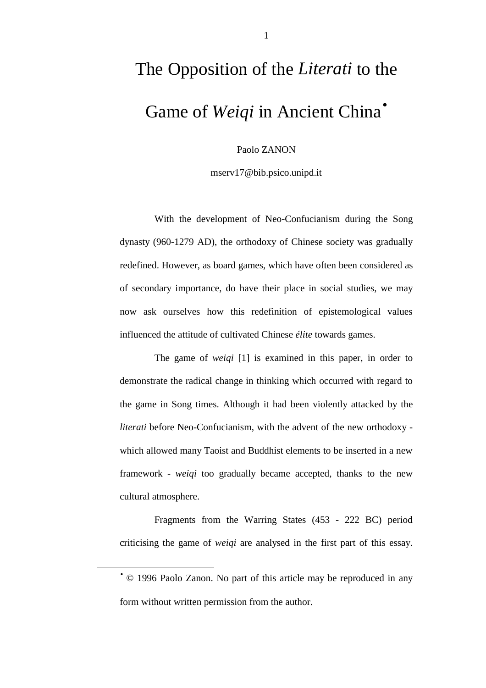## The Opposition of the *Literati* to the Game of *Weiqi* in Ancient China<sup>•</sup>

Paolo ZANON

mserv17@bib.psico.unipd.it

With the development of Neo-Confucianism during the Song dynasty (960-1279 AD), the orthodoxy of Chinese society was gradually redefined. However, as board games, which have often been considered as of secondary importance, do have their place in social studies, we may now ask ourselves how this redefinition of epistemological values influenced the attitude of cultivated Chinese *élite* towards games.

The game of *weiqi* [1] is examined in this paper, in order to demonstrate the radical change in thinking which occurred with regard to the game in Song times. Although it had been violently attacked by the *literati* before Neo-Confucianism, with the advent of the new orthodoxy which allowed many Taoist and Buddhist elements to be inserted in a new framework - *weiqi* too gradually became accepted, thanks to the new cultural atmosphere.

Fragments from the Warring States (453 - 222 BC) period criticising the game of *weiqi* are analysed in the first part of this essay.

 $\overline{a}$ 

<sup>•</sup> © 1996 Paolo Zanon. No part of this article may be reproduced in any form without written permission from the author.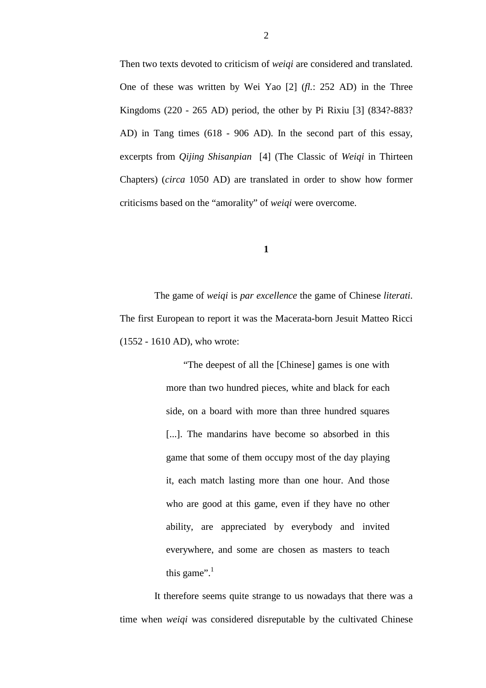Then two texts devoted to criticism of *weiqi* are considered and translated. One of these was written by Wei Yao [2] (*fl.*: 252 AD) in the Three Kingdoms (220 - 265 AD) period, the other by Pi Rixiu [3] (834?-883? AD) in Tang times (618 - 906 AD). In the second part of this essay, excerpts from *Qijing Shisanpian* [4] (The Classic of *Weiqi* in Thirteen Chapters) (*circa* 1050 AD) are translated in order to show how former criticisms based on the "amorality" of *weiqi* were overcome.

**1**

The game of *weiqi* is *par excellence* the game of Chinese *literati*. The first European to report it was the Macerata-born Jesuit Matteo Ricci (1552 - 1610 AD), who wrote:

> "The deepest of all the [Chinese] games is one with more than two hundred pieces, white and black for each side, on a board with more than three hundred squares [...]. The mandarins have become so absorbed in this game that some of them occupy most of the day playing it, each match lasting more than one hour. And those who are good at this game, even if they have no other ability, are appreciated by everybody and invited everywhere, and some are chosen as masters to teach this game". $1$

It therefore seems quite strange to us nowadays that there was a time when *weiqi* was considered disreputable by the cultivated Chinese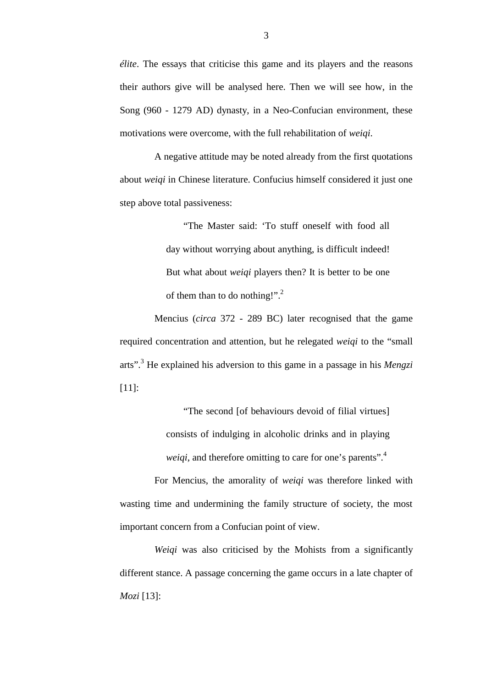*élite*. The essays that criticise this game and its players and the reasons their authors give will be analysed here. Then we will see how, in the Song (960 - 1279 AD) dynasty, in a Neo-Confucian environment, these motivations were overcome, with the full rehabilitation of *weiqi*.

A negative attitude may be noted already from the first quotations about *weiqi* in Chinese literature. Confucius himself considered it just one step above total passiveness:

> "The Master said: 'To stuff oneself with food all day without worrying about anything, is difficult indeed! But what about *weiqi* players then? It is better to be one of them than to do nothing!". $^{2}$

Mencius (*circa* 372 - 289 BC) later recognised that the game required concentration and attention, but he relegated *weiqi* to the "small arts".<sup>3</sup> He explained his adversion to this game in a passage in his *Mengzi* [11]:

> "The second [of behaviours devoid of filial virtues] consists of indulging in alcoholic drinks and in playing *weiqi*, and therefore omitting to care for one's parents".<sup>4</sup>

For Mencius, the amorality of *weiqi* was therefore linked with wasting time and undermining the family structure of society, the most important concern from a Confucian point of view.

*Weiqi* was also criticised by the Mohists from a significantly different stance. A passage concerning the game occurs in a late chapter of *Mozi* [13]: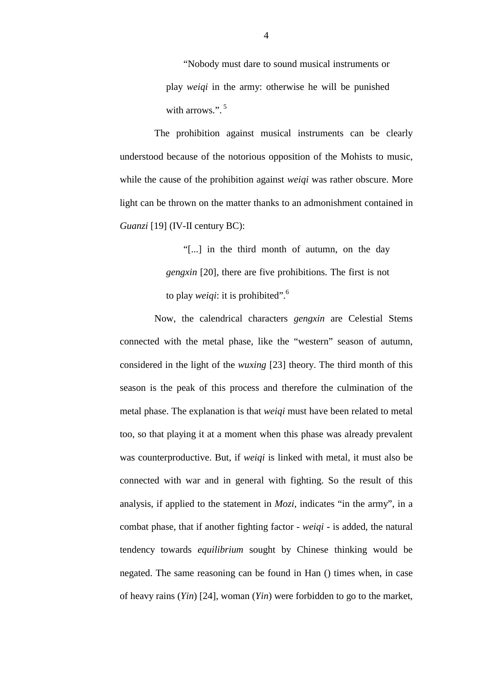"Nobody must dare to sound musical instruments or play *weiqi* in the army: otherwise he will be punished with arrows.".<sup>5</sup>

 The prohibition against musical instruments can be clearly understood because of the notorious opposition of the Mohists to music, while the cause of the prohibition against *weiqi* was rather obscure. More light can be thrown on the matter thanks to an admonishment contained in *Guanzi* [19] (IV-II century BC):

> "[...] in the third month of autumn, on the day *gengxin* [20], there are five prohibitions. The first is not to play *weiqi*: it is prohibited".6

Now, the calendrical characters *gengxin* are Celestial Stems connected with the metal phase, like the "western" season of autumn, considered in the light of the *wuxing* [23] theory. The third month of this season is the peak of this process and therefore the culmination of the metal phase. The explanation is that *weiqi* must have been related to metal too, so that playing it at a moment when this phase was already prevalent was counterproductive. But, if *weiqi* is linked with metal, it must also be connected with war and in general with fighting. So the result of this analysis, if applied to the statement in *Mozi*, indicates "in the army", in a combat phase, that if another fighting factor - *weiqi* - is added, the natural tendency towards *equilibrium* sought by Chinese thinking would be negated. The same reasoning can be found in Han () times when, in case of heavy rains (*Yin*) [24], woman (*Yin*) were forbidden to go to the market,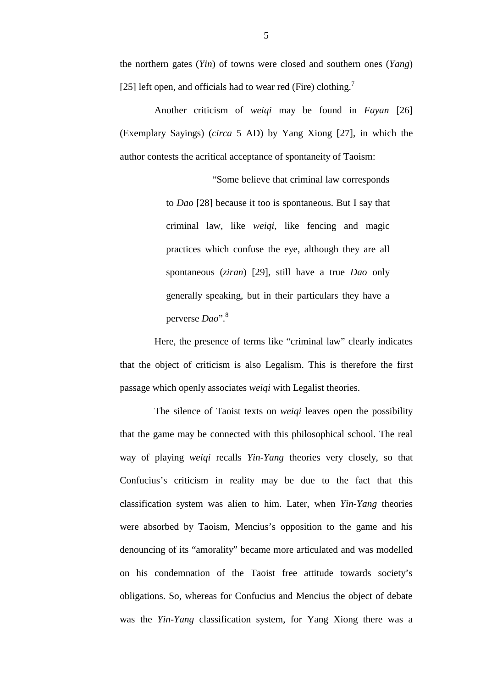the northern gates (*Yin*) of towns were closed and southern ones (*Yang*) [25] left open, and officials had to wear red (Fire) clothing.<sup>7</sup>

Another criticism of *weiqi* may be found in *Fayan* [26] (Exemplary Sayings) (*circa* 5 AD) by Yang Xiong [27], in which the author contests the acritical acceptance of spontaneity of Taoism:

> "Some believe that criminal law corresponds to *Dao* [28] because it too is spontaneous. But I say that criminal law, like *weiqi*, like fencing and magic practices which confuse the eye, although they are all spontaneous (*ziran*) [29], still have a true *Dao* only generally speaking, but in their particulars they have a perverse *Dao*".8

Here, the presence of terms like "criminal law" clearly indicates that the object of criticism is also Legalism. This is therefore the first passage which openly associates *weiqi* with Legalist theories.

The silence of Taoist texts on *weiqi* leaves open the possibility that the game may be connected with this philosophical school. The real way of playing *weiqi* recalls *Yin-Yang* theories very closely, so that Confucius's criticism in reality may be due to the fact that this classification system was alien to him. Later, when *Yin-Yang* theories were absorbed by Taoism, Mencius's opposition to the game and his denouncing of its "amorality" became more articulated and was modelled on his condemnation of the Taoist free attitude towards society's obligations. So, whereas for Confucius and Mencius the object of debate was the *Yin-Yang* classification system, for Yang Xiong there was a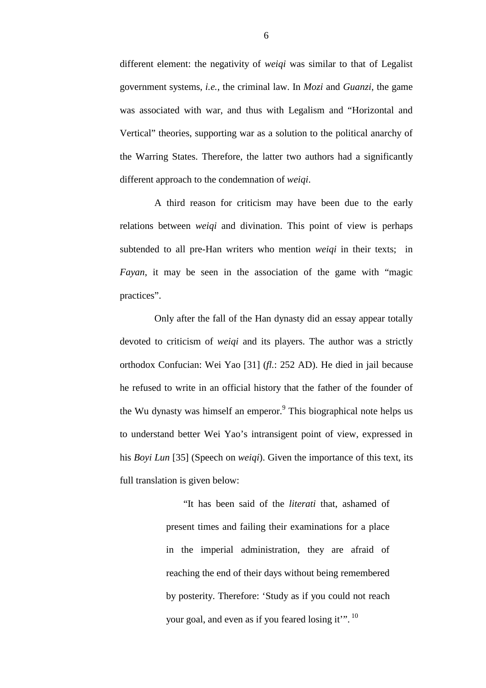different element: the negativity of *weiqi* was similar to that of Legalist government systems, *i.e.*, the criminal law. In *Mozi* and *Guanzi*, the game was associated with war, and thus with Legalism and "Horizontal and Vertical" theories, supporting war as a solution to the political anarchy of the Warring States. Therefore, the latter two authors had a significantly different approach to the condemnation of *weiqi*.

A third reason for criticism may have been due to the early relations between *weiqi* and divination. This point of view is perhaps subtended to all pre-Han writers who mention *weiqi* in their texts; in *Fayan*, it may be seen in the association of the game with "magic practices".

Only after the fall of the Han dynasty did an essay appear totally devoted to criticism of *weiqi* and its players. The author was a strictly orthodox Confucian: Wei Yao [31] (*fl.*: 252 AD). He died in jail because he refused to write in an official history that the father of the founder of the Wu dynasty was himself an emperor.<sup>9</sup> This biographical note helps us to understand better Wei Yao's intransigent point of view, expressed in his *Boyi Lun* [35] (Speech on *weiqi*). Given the importance of this text, its full translation is given below:

> "It has been said of the *literati* that, ashamed of present times and failing their examinations for a place in the imperial administration, they are afraid of reaching the end of their days without being remembered by posterity. Therefore: 'Study as if you could not reach your goal, and even as if you feared losing it".<sup>10</sup>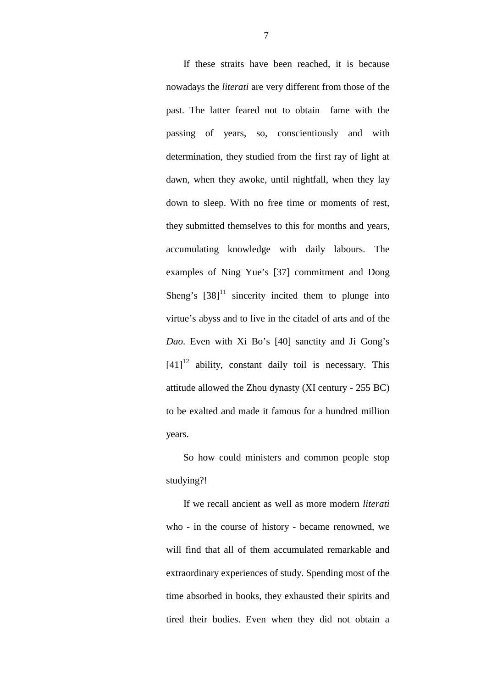If these straits have been reached, it is because nowadays the *literati* are very different from those of the past. The latter feared not to obtain fame with the passing of years, so, conscientiously and with determination, they studied from the first ray of light at dawn, when they awoke, until nightfall, when they lay down to sleep. With no free time or moments of rest, they submitted themselves to this for months and years, accumulating knowledge with daily labours. The examples of Ning Yue's [37] commitment and Dong Sheng's  $\left[38\right]^{11}$  sincerity incited them to plunge into virtue's abyss and to live in the citadel of arts and of the *Dao*. Even with Xi Bo's [40] sanctity and Ji Gong's  $[41]^{12}$  ability, constant daily toil is necessary. This attitude allowed the Zhou dynasty (XI century - 255 BC) to be exalted and made it famous for a hundred million years.

So how could ministers and common people stop studying?!

If we recall ancient as well as more modern *literati* who - in the course of history - became renowned, we will find that all of them accumulated remarkable and extraordinary experiences of study. Spending most of the time absorbed in books, they exhausted their spirits and tired their bodies. Even when they did not obtain a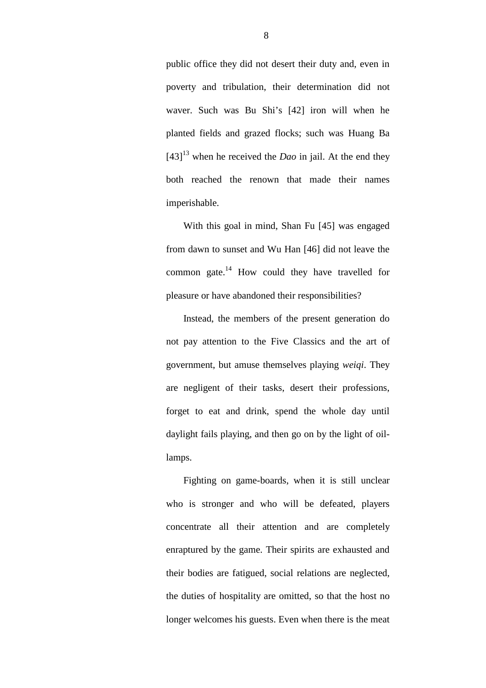public office they did not desert their duty and, even in poverty and tribulation, their determination did not waver. Such was Bu Shi's [42] iron will when he planted fields and grazed flocks; such was Huang Ba  $[43]^{13}$  when he received the *Dao* in jail. At the end they both reached the renown that made their names imperishable.

With this goal in mind, Shan Fu [45] was engaged from dawn to sunset and Wu Han [46] did not leave the common gate.14 How could they have travelled for pleasure or have abandoned their responsibilities?

Instead, the members of the present generation do not pay attention to the Five Classics and the art of government, but amuse themselves playing *weiqi*. They are negligent of their tasks, desert their professions, forget to eat and drink, spend the whole day until daylight fails playing, and then go on by the light of oillamps.

Fighting on game-boards, when it is still unclear who is stronger and who will be defeated, players concentrate all their attention and are completely enraptured by the game. Their spirits are exhausted and their bodies are fatigued, social relations are neglected, the duties of hospitality are omitted, so that the host no longer welcomes his guests. Even when there is the meat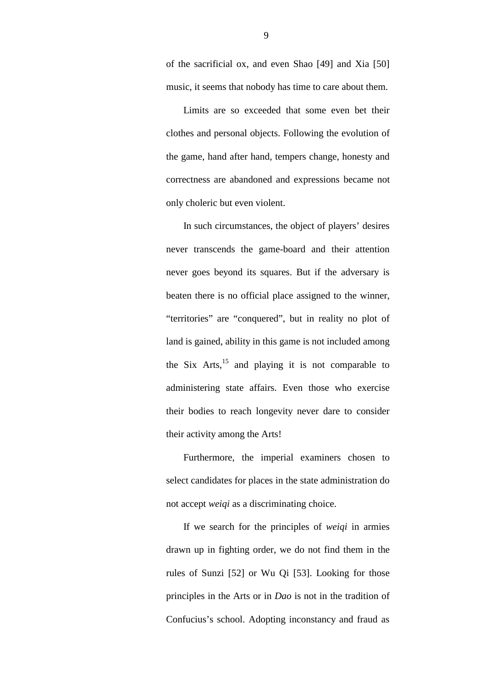of the sacrificial ox, and even Shao [49] and Xia [50] music, it seems that nobody has time to care about them.

Limits are so exceeded that some even bet their clothes and personal objects. Following the evolution of the game, hand after hand, tempers change, honesty and correctness are abandoned and expressions became not only choleric but even violent.

In such circumstances, the object of players' desires never transcends the game-board and their attention never goes beyond its squares. But if the adversary is beaten there is no official place assigned to the winner, "territories" are "conquered", but in reality no plot of land is gained, ability in this game is not included among the Six Arts, $^{15}$  and playing it is not comparable to administering state affairs. Even those who exercise their bodies to reach longevity never dare to consider their activity among the Arts!

Furthermore, the imperial examiners chosen to select candidates for places in the state administration do not accept *weiqi* as a discriminating choice.

If we search for the principles of *weiqi* in armies drawn up in fighting order, we do not find them in the rules of Sunzi [52] or Wu Qi [53]. Looking for those principles in the Arts or in *Dao* is not in the tradition of Confucius's school. Adopting inconstancy and fraud as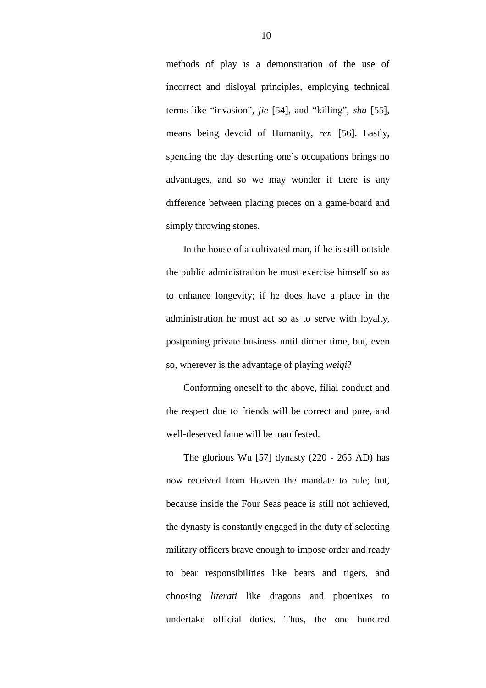methods of play is a demonstration of the use of incorrect and disloyal principles, employing technical terms like "invasion", *jie* [54], and "killing", *sha* [55], means being devoid of Humanity, *ren* [56]. Lastly, spending the day deserting one's occupations brings no advantages, and so we may wonder if there is any difference between placing pieces on a game-board and simply throwing stones.

In the house of a cultivated man, if he is still outside the public administration he must exercise himself so as to enhance longevity; if he does have a place in the administration he must act so as to serve with loyalty, postponing private business until dinner time, but, even so, wherever is the advantage of playing *weiqi*?

Conforming oneself to the above, filial conduct and the respect due to friends will be correct and pure, and well-deserved fame will be manifested.

The glorious Wu [57] dynasty (220 - 265 AD) has now received from Heaven the mandate to rule; but, because inside the Four Seas peace is still not achieved, the dynasty is constantly engaged in the duty of selecting military officers brave enough to impose order and ready to bear responsibilities like bears and tigers, and choosing *literati* like dragons and phoenixes to undertake official duties. Thus, the one hundred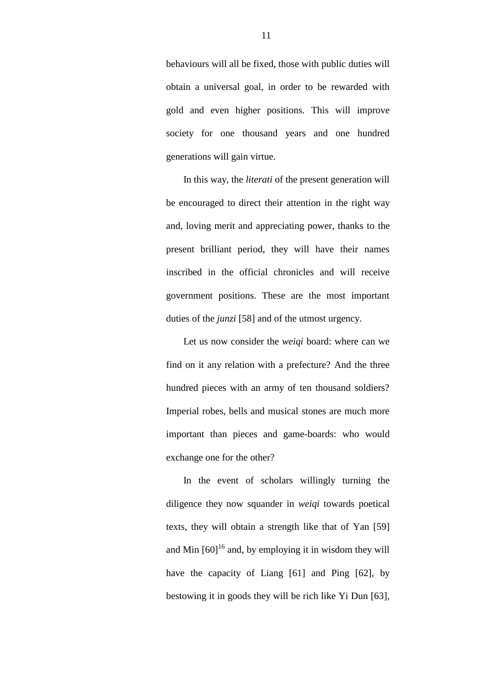behaviours will all be fixed, those with public duties will obtain a universal goal, in order to be rewarded with gold and even higher positions. This will improve society for one thousand years and one hundred generations will gain virtue.

In this way, the *literati* of the present generation will be encouraged to direct their attention in the right way and, loving merit and appreciating power, thanks to the present brilliant period, they will have their names inscribed in the official chronicles and will receive government positions. These are the most important duties of the *junzi* [58] and of the utmost urgency.

Let us now consider the *weiqi* board: where can we find on it any relation with a prefecture? And the three hundred pieces with an army of ten thousand soldiers? Imperial robes, bells and musical stones are much more important than pieces and game-boards: who would exchange one for the other?

In the event of scholars willingly turning the diligence they now squander in *weiqi* towards poetical texts, they will obtain a strength like that of Yan [59] and Min  $[60]^{16}$  and, by employing it in wisdom they will have the capacity of Liang [61] and Ping [62], by bestowing it in goods they will be rich like Yi Dun [63],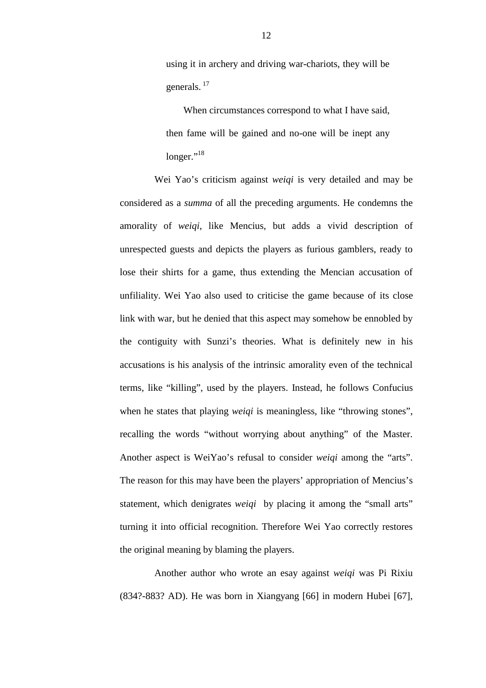using it in archery and driving war-chariots, they will be generals. 17

When circumstances correspond to what I have said, then fame will be gained and no-one will be inept any longer."<sup>18</sup>

Wei Yao's criticism against *weiqi* is very detailed and may be considered as a *summa* of all the preceding arguments. He condemns the amorality of *weiqi*, like Mencius, but adds a vivid description of unrespected guests and depicts the players as furious gamblers, ready to lose their shirts for a game, thus extending the Mencian accusation of unfiliality. Wei Yao also used to criticise the game because of its close link with war, but he denied that this aspect may somehow be ennobled by the contiguity with Sunzi's theories. What is definitely new in his accusations is his analysis of the intrinsic amorality even of the technical terms, like "killing", used by the players. Instead, he follows Confucius when he states that playing *weigi* is meaningless, like "throwing stones", recalling the words "without worrying about anything" of the Master. Another aspect is WeiYao's refusal to consider *weiqi* among the "arts". The reason for this may have been the players' appropriation of Mencius's statement, which denigrates *weiqi* by placing it among the "small arts" turning it into official recognition. Therefore Wei Yao correctly restores the original meaning by blaming the players.

Another author who wrote an esay against *weiqi* was Pi Rixiu (834?-883? AD). He was born in Xiangyang [66] in modern Hubei [67],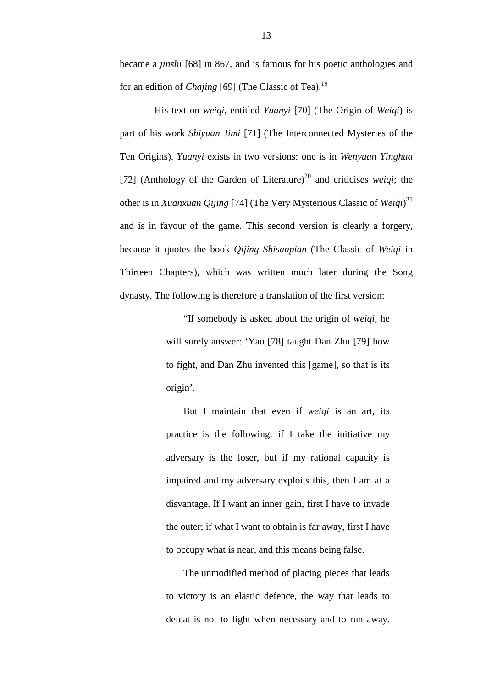became a *jinshi* [68] in 867, and is famous for his poetic anthologies and for an edition of *Chajing* [69] (The Classic of Tea).<sup>19</sup>

His text on *weiqi*, entitled *Yuanyi* [70] (The Origin of *Weiqi*) is part of his work *Shiyuan Jimi* [71] (The Interconnected Mysteries of the Ten Origins). *Yuanyi* exists in two versions: one is in *Wenyuan Yinghua* [72] (Anthology of the Garden of Literature)<sup>20</sup> and criticises *weigi*; the other is in *Xuanxuan Qijing* [74] (The Very Mysterious Classic of *Weiqi*) 21 and is in favour of the game. This second version is clearly a forgery, because it quotes the book *Qijing Shisanpian* (The Classic of *Weiqi* in Thirteen Chapters), which was written much later during the Song dynasty. The following is therefore a translation of the first version:

> "If somebody is asked about the origin of *weiqi*, he will surely answer: 'Yao [78] taught Dan Zhu [79] how to fight, and Dan Zhu invented this [game], so that is its origin'.

> But I maintain that even if *weiqi* is an art, its practice is the following: if I take the initiative my adversary is the loser, but if my rational capacity is impaired and my adversary exploits this, then I am at a disvantage. If I want an inner gain, first I have to invade the outer; if what I want to obtain is far away, first I have to occupy what is near, and this means being false.

> The unmodified method of placing pieces that leads to victory is an elastic defence, the way that leads to defeat is not to fight when necessary and to run away.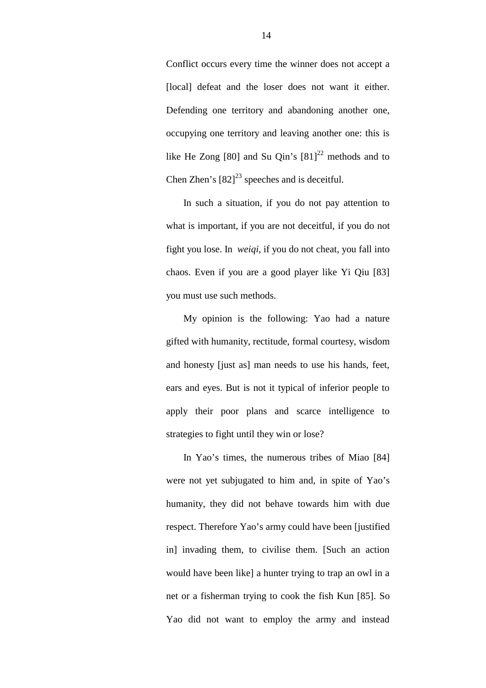Conflict occurs every time the winner does not accept a [local] defeat and the loser does not want it either. Defending one territory and abandoning another one, occupying one territory and leaving another one: this is like He Zong [80] and Su Qin's  $[81]^{22}$  methods and to Chen Zhen's  $[82]^{23}$  speeches and is deceitful.

In such a situation, if you do not pay attention to what is important, if you are not deceitful, if you do not fight you lose. In *weiqi*, if you do not cheat, you fall into chaos. Even if you are a good player like Yi Qiu [83] you must use such methods.

My opinion is the following: Yao had a nature gifted with humanity, rectitude, formal courtesy, wisdom and honesty [just as] man needs to use his hands, feet, ears and eyes. But is not it typical of inferior people to apply their poor plans and scarce intelligence to strategies to fight until they win or lose?

In Yao's times, the numerous tribes of Miao [84] were not yet subjugated to him and, in spite of Yao's humanity, they did not behave towards him with due respect. Therefore Yao's army could have been [justified in] invading them, to civilise them. [Such an action would have been like] a hunter trying to trap an owl in a net or a fisherman trying to cook the fish Kun [85]. So Yao did not want to employ the army and instead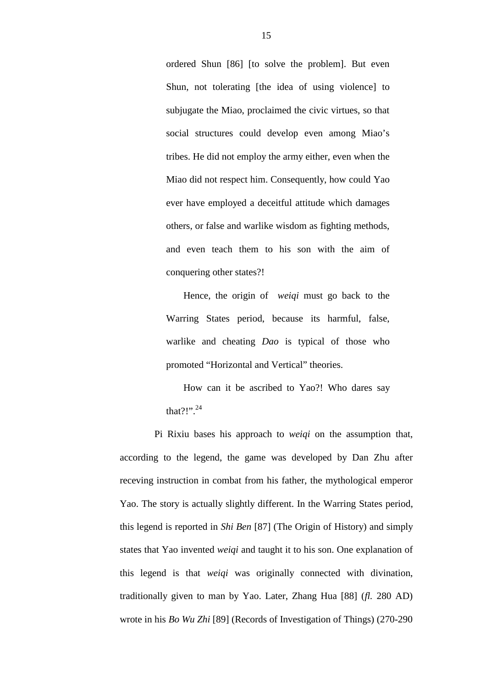ordered Shun [86] [to solve the problem]. But even Shun, not tolerating [the idea of using violence] to subjugate the Miao, proclaimed the civic virtues, so that social structures could develop even among Miao's tribes. He did not employ the army either, even when the Miao did not respect him. Consequently, how could Yao ever have employed a deceitful attitude which damages others, or false and warlike wisdom as fighting methods, and even teach them to his son with the aim of conquering other states?!

Hence, the origin of *weiqi* must go back to the Warring States period, because its harmful, false, warlike and cheating *Dao* is typical of those who promoted "Horizontal and Vertical" theories.

How can it be ascribed to Yao?! Who dares say that?!" $^{24}$ 

Pi Rixiu bases his approach to *weiqi* on the assumption that, according to the legend, the game was developed by Dan Zhu after receving instruction in combat from his father, the mythological emperor Yao. The story is actually slightly different. In the Warring States period, this legend is reported in *Shi Ben* [87] (The Origin of History) and simply states that Yao invented *weiqi* and taught it to his son. One explanation of this legend is that *weiqi* was originally connected with divination, traditionally given to man by Yao. Later, Zhang Hua [88] (*fl.* 280 AD) wrote in his *Bo Wu Zhi* [89] (Records of Investigation of Things) (270-290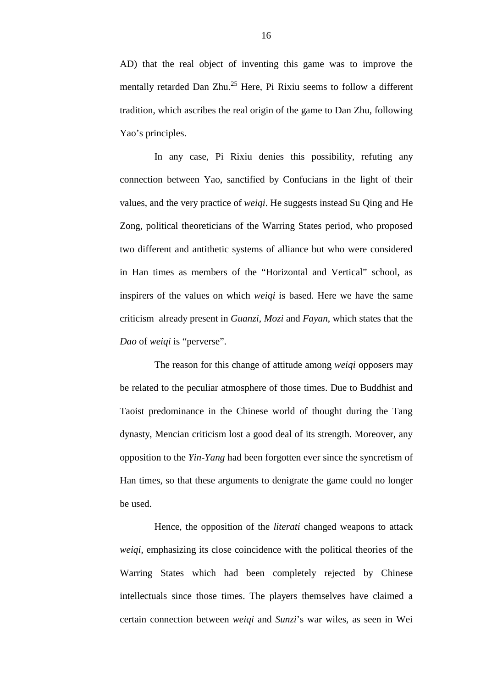AD) that the real object of inventing this game was to improve the mentally retarded Dan Zhu.<sup>25</sup> Here, Pi Rixiu seems to follow a different tradition, which ascribes the real origin of the game to Dan Zhu, following Yao's principles.

In any case, Pi Rixiu denies this possibility, refuting any connection between Yao, sanctified by Confucians in the light of their values, and the very practice of *weiqi*. He suggests instead Su Qing and He Zong, political theoreticians of the Warring States period, who proposed two different and antithetic systems of alliance but who were considered in Han times as members of the "Horizontal and Vertical" school, as inspirers of the values on which *weiqi* is based. Here we have the same criticism already present in *Guanzi*, *Mozi* and *Fayan*, which states that the *Dao* of *weiqi* is "perverse".

The reason for this change of attitude among *weiqi* opposers may be related to the peculiar atmosphere of those times. Due to Buddhist and Taoist predominance in the Chinese world of thought during the Tang dynasty, Mencian criticism lost a good deal of its strength. Moreover, any opposition to the *Yin-Yang* had been forgotten ever since the syncretism of Han times, so that these arguments to denigrate the game could no longer be used.

Hence, the opposition of the *literati* changed weapons to attack *weiqi*, emphasizing its close coincidence with the political theories of the Warring States which had been completely rejected by Chinese intellectuals since those times. The players themselves have claimed a certain connection between *weiqi* and *Sunzi*'s war wiles, as seen in Wei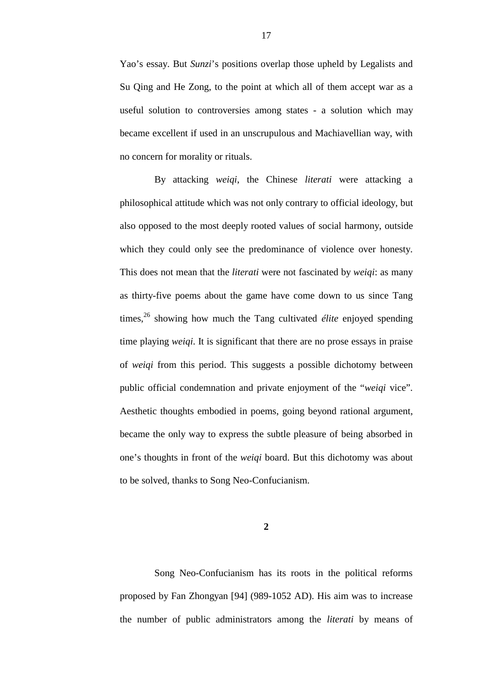Yao's essay. But *Sunzi*'s positions overlap those upheld by Legalists and Su Qing and He Zong, to the point at which all of them accept war as a useful solution to controversies among states - a solution which may became excellent if used in an unscrupulous and Machiavellian way, with no concern for morality or rituals.

By attacking *weiqi*, the Chinese *literati* were attacking a philosophical attitude which was not only contrary to official ideology, but also opposed to the most deeply rooted values of social harmony, outside which they could only see the predominance of violence over honesty. This does not mean that the *literati* were not fascinated by *weiqi*: as many as thirty-five poems about the game have come down to us since Tang times,<sup>26</sup> showing how much the Tang cultivated *élite* enjoyed spending time playing *weiqi*. It is significant that there are no prose essays in praise of *weiqi* from this period. This suggests a possible dichotomy between public official condemnation and private enjoyment of the "*weiqi* vice". Aesthetic thoughts embodied in poems, going beyond rational argument, became the only way to express the subtle pleasure of being absorbed in one's thoughts in front of the *weiqi* board. But this dichotomy was about to be solved, thanks to Song Neo-Confucianism.

**2**

 Song Neo-Confucianism has its roots in the political reforms proposed by Fan Zhongyan [94] (989-1052 AD). His aim was to increase the number of public administrators among the *literati* by means of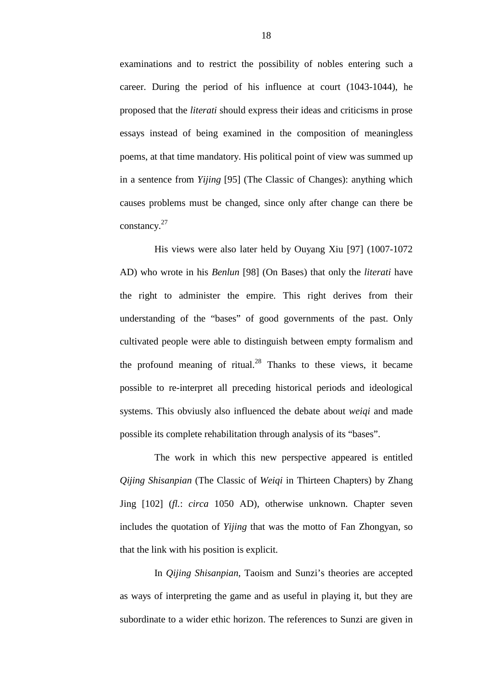examinations and to restrict the possibility of nobles entering such a career. During the period of his influence at court (1043-1044), he proposed that the *literati* should express their ideas and criticisms in prose essays instead of being examined in the composition of meaningless poems, at that time mandatory. His political point of view was summed up in a sentence from *Yijing* [95] (The Classic of Changes): anything which causes problems must be changed, since only after change can there be constancy.<sup>27</sup>

His views were also later held by Ouyang Xiu [97] (1007-1072 AD) who wrote in his *Benlun* [98] (On Bases) that only the *literati* have the right to administer the empire. This right derives from their understanding of the "bases" of good governments of the past. Only cultivated people were able to distinguish between empty formalism and the profound meaning of ritual.<sup>28</sup> Thanks to these views, it became possible to re-interpret all preceding historical periods and ideological systems. This obviusly also influenced the debate about *weiqi* and made possible its complete rehabilitation through analysis of its "bases".

The work in which this new perspective appeared is entitled *Qijing Shisanpian* (The Classic of *Weiqi* in Thirteen Chapters) by Zhang Jing [102] (*fl.*: *circa* 1050 AD), otherwise unknown. Chapter seven includes the quotation of *Yijing* that was the motto of Fan Zhongyan, so that the link with his position is explicit.

In *Qijing Shisanpian*, Taoism and Sunzi's theories are accepted as ways of interpreting the game and as useful in playing it, but they are subordinate to a wider ethic horizon. The references to Sunzi are given in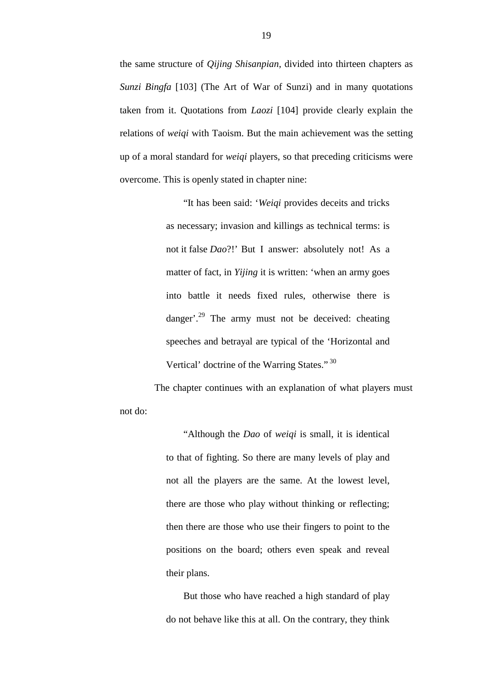the same structure of *Qijing Shisanpian*, divided into thirteen chapters as *Sunzi Bingfa* [103] (The Art of War of Sunzi) and in many quotations taken from it. Quotations from *Laozi* [104] provide clearly explain the relations of *weiqi* with Taoism. But the main achievement was the setting up of a moral standard for *weiqi* players, so that preceding criticisms were overcome. This is openly stated in chapter nine:

> "It has been said: '*Weiqi* provides deceits and tricks as necessary; invasion and killings as technical terms: is not it false *Dao*?!' But I answer: absolutely not! As a matter of fact, in *Yijing* it is written: 'when an army goes into battle it needs fixed rules, otherwise there is danger'.<sup>29</sup> The army must not be deceived: cheating speeches and betrayal are typical of the 'Horizontal and Vertical' doctrine of the Warring States." 30

The chapter continues with an explanation of what players must not do:

> "Although the *Dao* of *weiqi* is small, it is identical to that of fighting. So there are many levels of play and not all the players are the same. At the lowest level, there are those who play without thinking or reflecting; then there are those who use their fingers to point to the positions on the board; others even speak and reveal their plans.

> But those who have reached a high standard of play do not behave like this at all. On the contrary, they think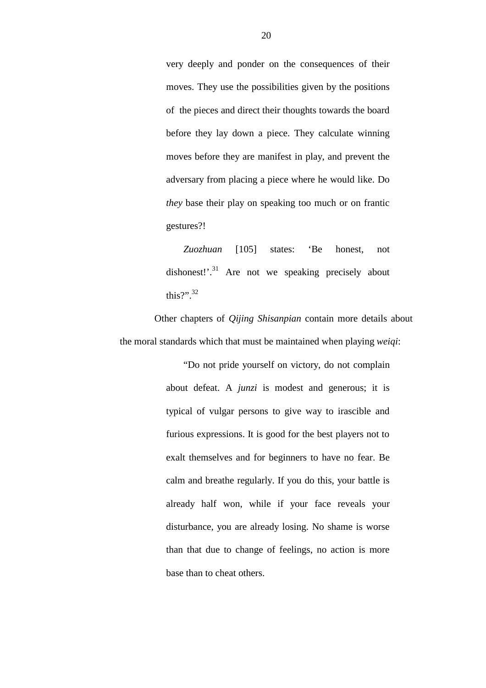very deeply and ponder on the consequences of their moves. They use the possibilities given by the positions of the pieces and direct their thoughts towards the board before they lay down a piece. They calculate winning moves before they are manifest in play, and prevent the adversary from placing a piece where he would like. Do *they* base their play on speaking too much or on frantic gestures?!

*Zuozhuan* [105] states: 'Be honest, not dishonest!'.<sup>31</sup> Are not we speaking precisely about this?". $32$ 

Other chapters of *Qijing Shisanpian* contain more details about the moral standards which that must be maintained when playing *weiqi*:

> "Do not pride yourself on victory, do not complain about defeat. A *junzi* is modest and generous; it is typical of vulgar persons to give way to irascible and furious expressions. It is good for the best players not to exalt themselves and for beginners to have no fear. Be calm and breathe regularly. If you do this, your battle is already half won, while if your face reveals your disturbance, you are already losing. No shame is worse than that due to change of feelings, no action is more base than to cheat others.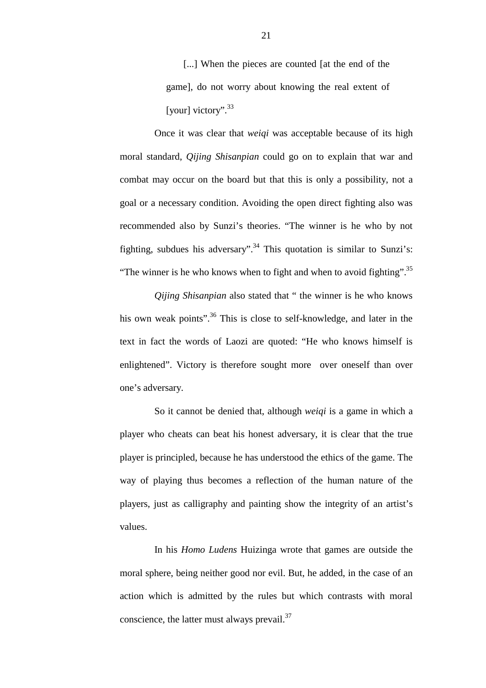[...] When the pieces are counted [at the end of the game], do not worry about knowing the real extent of [your] victory".<sup>33</sup>

Once it was clear that *weiqi* was acceptable because of its high moral standard, *Qijing Shisanpian* could go on to explain that war and combat may occur on the board but that this is only a possibility, not a goal or a necessary condition. Avoiding the open direct fighting also was recommended also by Sunzi's theories. "The winner is he who by not fighting, subdues his adversary".<sup>34</sup> This quotation is similar to Sunzi's: "The winner is he who knows when to fight and when to avoid fighting".<sup>35</sup>

*Qijing Shisanpian* also stated that " the winner is he who knows his own weak points".<sup>36</sup> This is close to self-knowledge, and later in the text in fact the words of Laozi are quoted: "He who knows himself is enlightened". Victory is therefore sought more over oneself than over one's adversary.

So it cannot be denied that, although *weiqi* is a game in which a player who cheats can beat his honest adversary, it is clear that the true player is principled, because he has understood the ethics of the game. The way of playing thus becomes a reflection of the human nature of the players, just as calligraphy and painting show the integrity of an artist's values.

In his *Homo Ludens* Huizinga wrote that games are outside the moral sphere, being neither good nor evil. But, he added, in the case of an action which is admitted by the rules but which contrasts with moral conscience, the latter must always prevail. $37$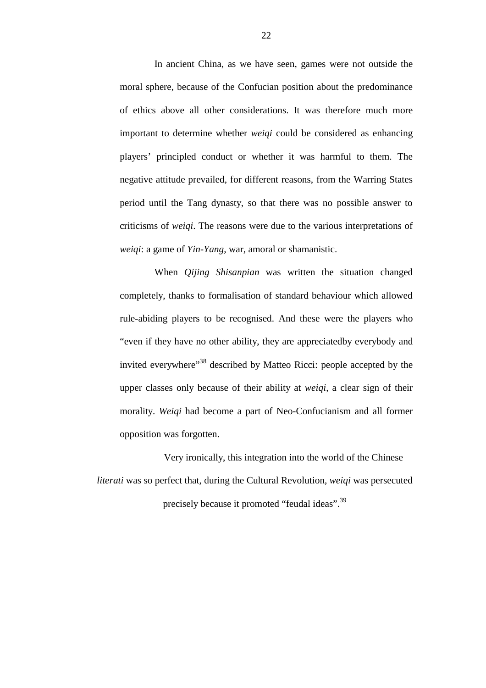In ancient China, as we have seen, games were not outside the moral sphere, because of the Confucian position about the predominance of ethics above all other considerations. It was therefore much more important to determine whether *weiqi* could be considered as enhancing players' principled conduct or whether it was harmful to them. The negative attitude prevailed, for different reasons, from the Warring States period until the Tang dynasty, so that there was no possible answer to criticisms of *weiqi*. The reasons were due to the various interpretations of *weiqi*: a game of *Yin-Yang*, war, amoral or shamanistic.

When *Qijing Shisanpian* was written the situation changed completely, thanks to formalisation of standard behaviour which allowed rule-abiding players to be recognised. And these were the players who "even if they have no other ability, they are appreciatedby everybody and invited everywhere<sup>38</sup> described by Matteo Ricci: people accepted by the upper classes only because of their ability at *weiqi*, a clear sign of their morality. *Weiqi* had become a part of Neo-Confucianism and all former opposition was forgotten.

Very ironically, this integration into the world of the Chinese *literati* was so perfect that, during the Cultural Revolution, *weiqi* was persecuted precisely because it promoted "feudal ideas".39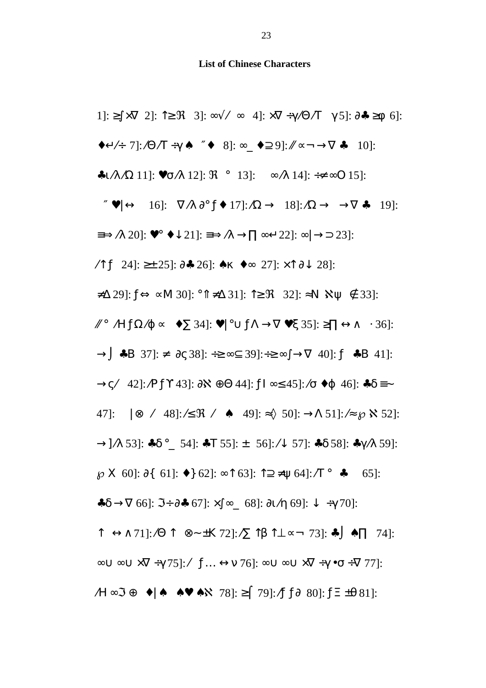**List of Chinese Characters**

1]: ≥∫ ×∇ 2]: ↑≥ ℜ 3]: ∞√ ⁄ ∞ 4]: ×∇ ÷γ ⁄Θ ⁄Τ γ 5]: ∂♣ ≥φ 6]: ♦↵ ⁄÷ 7]: ⁄Θ ⁄Τ ÷γ ♠ ″♦ 8]: ∞\_ ♦⊇ 9]: ⁄⁄ ∝¬ →∇ ♣ 10]: ♣ι ⁄λ ⁄Ω 11]: ♥σ ⁄λ 12]: ℜ ° 13]: ∞ ⁄λ 14]: ÷≠ ∞Ο 15]: ″ ♥| ↔ 16]: ∇ ⁄λ ∂° ƒ♦ 17]: ⁄Ω → 18]: ⁄Ω → →∇ ♣ 19]: ≡⇒ ⁄λ 20]: ♥° ♦↓ 21]: ≡⇒ ⁄λ →∏ ∞↵ 22]: ∞| →⊃ 23]: ⁄↑ ƒ 24]: ≥± 25]: ∂♣ 26]: ♠κ ♦∞ 27]: ×↑ ∂↓ 28]: ≠∆ 29]: ƒ⇔ ∝Μ 30]: °⇑ ≠∆ 31]: ↑≥ ℜ 32]: ≈Ν ℵψ ∉ 33]: ⁄⁄ ° ⁄Η ƒΩ ⁄ϕ ∝ ♦∑ 34]: ♥| °∪ ƒΛ →∇ ♥ξ 35]: ≥∏ ↔∧ ⋅ 36]: →⌡ ♣Β 37]: ≠ ∂ς 38]: ÷≥ ∞⊆ 39]:÷≥ ∞∫ →∇ 40]: ƒ ♣Β 41]: →ς ⁄ 42]: ⁄Ρ ƒϒ 43]: ∂ℵ ⊕Θ 44]: ƒΙ ∞≤ 45]: ⁄σ ♦ϕ 46]: ♣δ ≡∼ 47]: | ⊗ ⁄ 48]: ⁄≤ ℜ ⁄ ♠ 49]: ≈◊ 50]: →Λ 51]: ⁄≈ ℘ℵ 52]: →] ⁄λ 53]: ♣δ °\_ 54]: ♣Τ 55]: ± 56]: ⁄↓ 57]: ♣δ 58]: ♣γ ⁄λ 59]: ℘Χ 60]: ∂{ 61]: ♦} 62]: ∞↑ 63]: ↑⊇ ≠ψ 64]: ⁄Τ ° ♣ 65]: ♣δ →∇ 66]: ℑ÷ ∂♣ 67]: ×∫ ∞\_ 68]: ∂ι ⁄η 69]: ↓ ÷γ 70]: ↑ ↔∧ 71]: ⁄Θ ↑ ⊗∼ ±Κ 72]: ⁄∑ ↑β ↑⊥ ∝¬ 73]: ♣⌡ ♠∏ 74]: ∞∪ ∞∪ ×∇ ÷γ 75]: ⁄ ƒ… ↔ν 76]: ∞∪ ∞∪ ×∇ ÷γ •σ ÷∇ 77]: ⁄Η ∞ℑ ⊕ ♦| ♠ ♠♥ ♠ℵ 78]: ≥⌠ 79]: ⁄ƒ ƒ∂ 80]: ƒΞ ±θ 81]: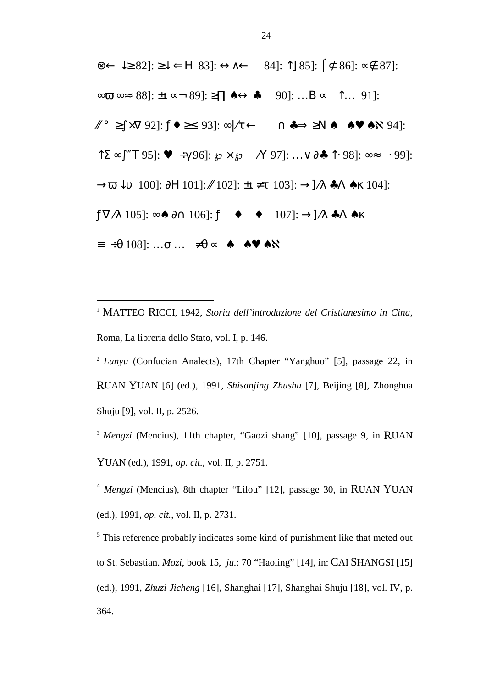$\otimes \leftarrow \downarrow \geq 82$ :  $\geq \downarrow \leftarrow$  H 83:  $\leftrightarrow \leftarrow$  84:  $\uparrow$  85:  $\uparrow \leftarrow 86$ :  $\sim \leftarrow 87$ :  $\infty$   $\infty$   $\infty$  88]:  $\pm$ 1  $\infty$   $\sim$  89]:  $\geq$   $\infty$   $\leftrightarrow$   $\infty$   $\infty$  90]: ...  $B \propto$   $\uparrow$   $\infty$  ... 91]:  $\mathbb{Z}^{\circ}$  ≥∫  $\times$ V 92]:  $f \bullet \geq 93$ : ∞ $\pi \leftarrow$   $\leftarrow$   $\rightarrow$   $\Rightarrow$   $\geq$ N  $\bullet$   $\leftarrow$   $\bullet \bullet \bullet$   $\bullet$   $\rightarrow$  94]:  $\uparrow$   $\Sigma \in \int$  "T 95]:  $\bullet$   $\rightarrow$   $\uparrow$  96]:  $\wp \times \wp \otimes N$  97]:  $\ldots \vee \partial \bullet \uparrow$   $\uparrow$  98]:  $\infty \approx$   $\vert \cdot$  99]:  $\rightarrow \overline{\omega}$   $\downarrow$  0 100]:  $\partial$ H 101]:  $\mathcal{N}$  102]:  $\pm$ u  $\neq$  t 103]:  $\rightarrow$ ] $\wedge$   $\bullet$ A  $\bullet$  K 104]:  $f\nabla\Lambda$  105]: ∞⊕ ∂∩ 106]:  $f\odot\bullet^{TM}\bullet\odot$  107]:  $\rightarrow$ ] $\Lambda\bullet\Lambda\bullet K$  $\equiv$  ÷ $\theta$  108]: …σ …  $\neq$   $\theta$   $\sim$   $\neq$   $\theta$   $\wedge$   $\theta$ 

<sup>1</sup> MATTEO RICCI, 1942, *Storia dell'introduzione del Cristianesimo in Cina*, Roma, La libreria dello Stato, vol. I, p. 146.

 $\overline{a}$ 

<sup>2</sup> *Lunyu* (Confucian Analects), 17th Chapter "Yanghuo" [5], passage 22, in RUAN YUAN [6] (ed.), 1991, *Shisanjing Zhushu* [7], Beijing [8], Zhonghua Shuju [9], vol. II, p. 2526.

<sup>3</sup> Mengzi (Mencius), 11th chapter, "Gaozi shang" [10], passage 9, in RUAN YUAN (ed.), 1991, *op. cit.*, vol. II, p. 2751.

<sup>4</sup> *Mengzi* (Mencius), 8th chapter "Lilou" [12], passage 30, in RUAN YUAN (ed.), 1991, *op. cit.*, vol. II, p. 2731.

 $<sup>5</sup>$  This reference probably indicates some kind of punishment like that meted out</sup> to St. Sebastian. *Mozi*, book 15, *ju.*: 70 "Haoling" [14], in: CAI SHANGSI [15] (ed.), 1991, *Zhuzi Jicheng* [16], Shanghai [17], Shanghai Shuju [18], vol. IV, p. 364.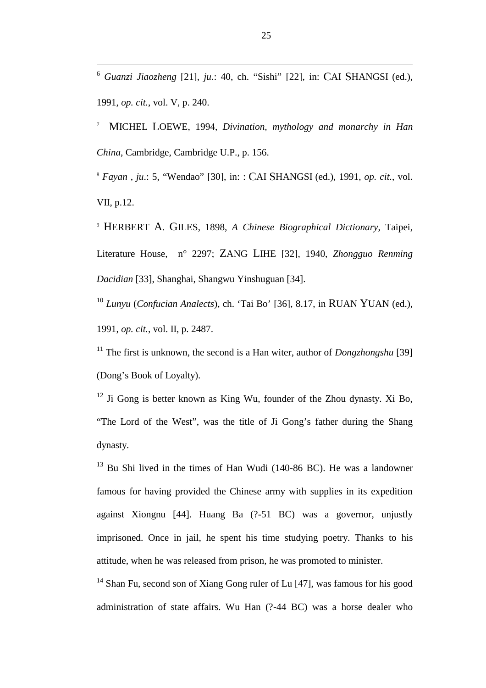6 *Guanzi Jiaozheng* [21], *ju*.: 40, ch. "Sishi" [22], in: CAI SHANGSI (ed.), 1991, *op. cit.*, vol. V, p. 240.

7 MICHEL LOEWE, 1994, *Divination, mythology and monarchy in Han China*, Cambridge, Cambridge U.P., p. 156.

<sup>8</sup> *Fayan* , *ju*.: 5, "Wendao" [30], in: : CAI SHANGSI (ed.), 1991, *op. cit.*, vol. VII, p.12.

<sup>9</sup> HERBERT A. GILES, 1898, *A Chinese Biographical Dictionary*, Taipei, Literature House, n° 2297; ZANG LIHE [32], 1940, *Zhongguo Renming Dacidian* [33], Shanghai, Shangwu Yinshuguan [34].

<sup>10</sup> *Lunyu* (*Confucian Analects*), ch. 'Tai Bo' [36], 8.17, in RUAN YUAN (ed.), 1991, *op. cit.*, vol. II, p. 2487.

<sup>11</sup> The first is unknown, the second is a Han witer, author of *Dongzhongshu* [39] (Dong's Book of Loyalty).

 $12$  Ji Gong is better known as King Wu, founder of the Zhou dynasty. Xi Bo, "The Lord of the West", was the title of Ji Gong's father during the Shang dynasty.

 $13$  Bu Shi lived in the times of Han Wudi (140-86 BC). He was a landowner famous for having provided the Chinese army with supplies in its expedition against Xiongnu [44]. Huang Ba (?-51 BC) was a governor, unjustly imprisoned. Once in jail, he spent his time studying poetry. Thanks to his attitude, when he was released from prison, he was promoted to minister.

<sup>14</sup> Shan Fu, second son of Xiang Gong ruler of Lu [47], was famous for his good administration of state affairs. Wu Han (?-44 BC) was a horse dealer who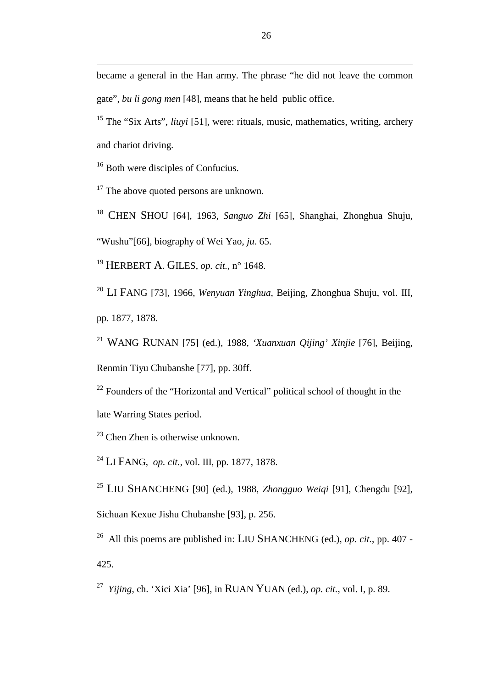became a general in the Han army. The phrase "he did not leave the common gate", *bu li gong men* [48], means that he held public office.

15 The "Six Arts", *liuyi* [51], were: rituals, music, mathematics, writing, archery and chariot driving.

<sup>16</sup> Both were disciples of Confucius.

 $\overline{a}$ 

 $17$  The above quoted persons are unknown.

<sup>18</sup> CHEN SHOU [64], 1963, *Sanguo Zhi* [65], Shanghai, Zhonghua Shuju,

"Wushu"[66], biography of Wei Yao, *ju*. 65.

<sup>19</sup> HERBERT A. GILES, *op. cit.*, n° 1648.

<sup>20</sup> LI FANG [73], 1966, *Wenyuan Yinghua*, Beijing, Zhonghua Shuju, vol. III, pp. 1877, 1878.

<sup>21</sup> WANG RUNAN [75] (ed.), 1988, *'Xuanxuan Qijing' Xinjie* [76], Beijing, Renmin Tiyu Chubanshe [77], pp. 30ff.

 $22$  Founders of the "Horizontal and Vertical" political school of thought in the late Warring States period.

23 Chen Zhen is otherwise unknown.

<sup>24</sup> LI FANG, *op. cit.*, vol. III, pp. 1877, 1878.

<sup>25</sup> LIU SHANCHENG [90] (ed.), 1988, *Zhongguo Weiqi* [91], Chengdu [92], Sichuan Kexue Jishu Chubanshe [93], p. 256.

26 All this poems are published in: LIU SHANCHENG (ed.), *op. cit.*, pp. 407 - 425.

27 *Yijing*, ch. 'Xici Xia' [96], in RUAN YUAN (ed.), *op. cit.*, vol. I, p. 89.